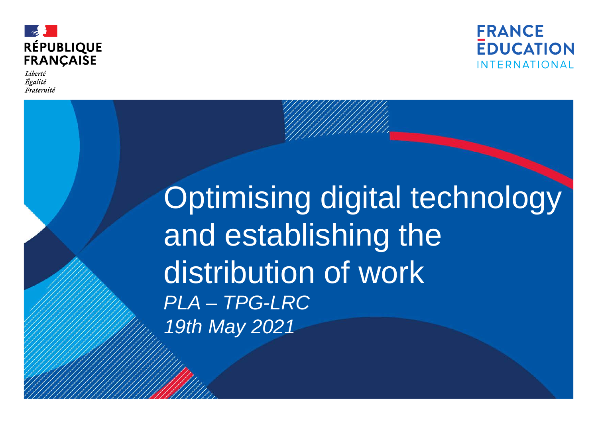



Liberté Égalité Fraternité

# Optimising digital technology and establishing the distribution of work *PLA – TPG-LRC 19th May 2021*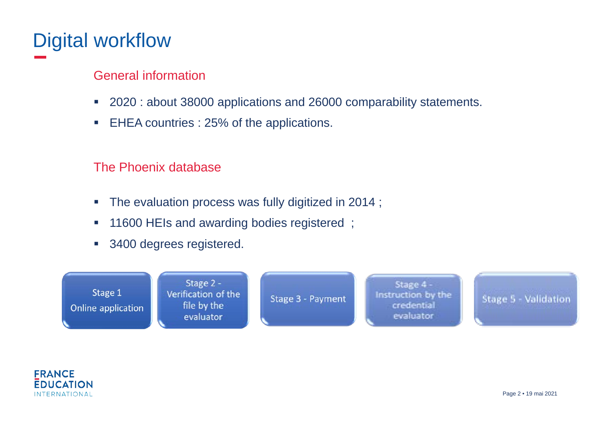## Digital workflow

#### General information

- 2020 : about 38000 applications and 26000 comparability statements.
- EHEA countries : 25% of the applications.

#### The Phoenix database

- **The evaluation process was fully digitized in 2014;**
- **11600 HEIs and awarding bodies registered**;
- **3400 degrees registered.**



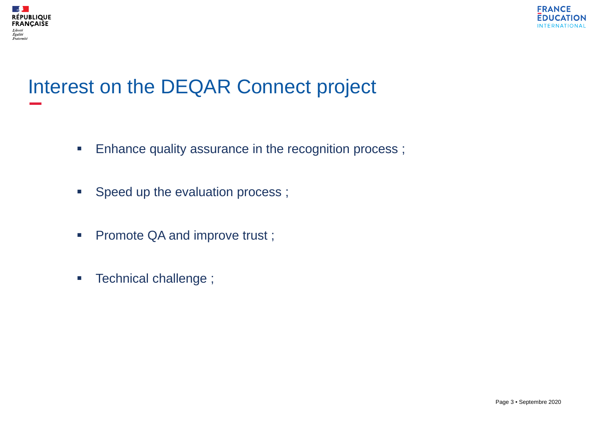



## Interest on the DEQAR Connect project

- **Enhance quality assurance in the recognition process;**
- Speed up the evaluation process ;
- Promote QA and improve trust;
- **Technical challenge** ;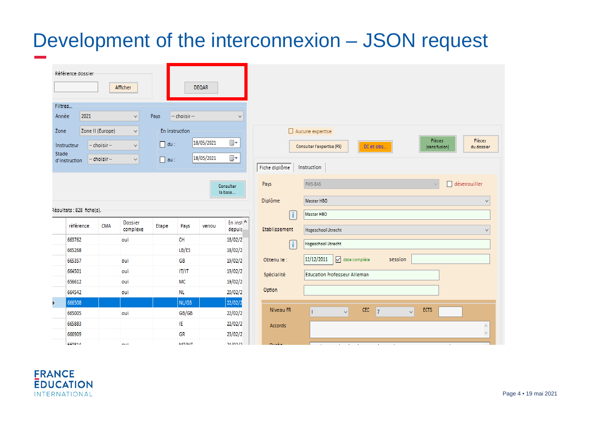### Development of the interconnexion – JSON request

| Filtres<br>2021<br>Année<br>Pays<br>-- choisir --<br>$\checkmark$<br>$\checkmark$<br>En instruction |
|-----------------------------------------------------------------------------------------------------|
|                                                                                                     |
|                                                                                                     |
| Zone<br>Zone II (Europe)<br>٧                                                                       |
| 18/05/2021<br>▦▾<br>$du$ :<br>-- choisir --<br>Instructeur<br>$\checkmark$                          |
| <b>Stade</b><br>18/05/2021<br>▦▾<br>$-$ choisir $-$<br>au:<br>$\checkmark$<br>d'instruction         |
|                                                                                                     |
| Consulter<br>la base                                                                                |
| Résultats : 828 fiche(s).                                                                           |

|   | référence | <b>CMA</b> | Dossier<br>complexe | Etape | Pays           | verrou | En inst ^<br>depuis |
|---|-----------|------------|---------------------|-------|----------------|--------|---------------------|
|   | 663762    |            | oui                 |       | <b>CH</b>      |        | 18/02/2             |
|   | 665268    |            |                     |       | LB/ES          |        | 18/02/2             |
|   | 665357    |            | oui                 |       | GB             |        | 19/02/2             |
|   | 664501    |            | oui                 |       | IT/IT          |        | 19/02/2             |
|   | 656612    |            | oui                 |       | МC             |        | 19/02/2             |
|   | 664542    |            | oui                 |       | NL.            |        | 20/02/2             |
| Þ | 666508    |            |                     |       | NL/GB          |        | 22/02/2             |
|   | 665005    |            | oui                 |       | GB/GB          |        | 22/02/2             |
|   | 665883    |            |                     |       | ΙE             |        | 22/02/2             |
|   | 666909    |            |                     |       | GR             |        | 23/02/2             |
|   | CCN01A    |            | en di               |       | <b>NATIVAT</b> |        | <b>24/02/2</b>      |

|               | Aucune expertise<br><b>Pièces</b><br>Pièces<br>DC et obs<br>Consulter l'expertise (FS)<br>(sans fusion)<br>du dossier |              |
|---------------|-----------------------------------------------------------------------------------------------------------------------|--------------|
| Fiche diplôme | Instruction                                                                                                           |              |
| Pays          | déverrouiller<br>PAYS-BAS<br>v                                                                                        |              |
| Diplôme       | Master HBO                                                                                                            | ∨            |
| ÷             | Master HBO                                                                                                            |              |
| Etablissement | <b>Hogeschool Utrecht</b>                                                                                             | $\checkmark$ |
| Ť             | <b>Hogeschool Utrecht</b>                                                                                             |              |
| Obtenu le:    | 12/12/2011<br>date complète<br>☑<br>session                                                                           |              |
| Spécialité    | <b>Education Professeur Alleman</b>                                                                                   |              |
| Option        |                                                                                                                       |              |
| Niveau FR     | <b>CEC</b><br><b>ECTS</b><br>$\bar{7}$<br>$\checkmark$<br>$\checkmark$<br>T                                           |              |
| Accords       |                                                                                                                       | Α<br>v       |
|               |                                                                                                                       |              |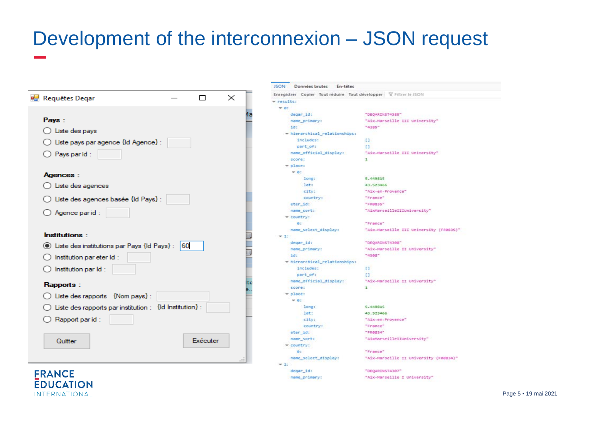## Development of the interconnexion – JSON request

| <b>Requêtes Degar</b>                                              |     |          | $\times$ |  |
|--------------------------------------------------------------------|-----|----------|----------|--|
|                                                                    |     |          |          |  |
| Pays:                                                              |     |          |          |  |
| $\bigcirc$ Liste des pays                                          |     |          |          |  |
| $\bigcirc$ Liste pays par agence {Id Agence} :                     |     |          |          |  |
| $\bigcirc$ Pays parid :                                            |     |          |          |  |
| <b>Agences:</b>                                                    |     |          |          |  |
| $\bigcirc$ Liste des agences                                       |     |          |          |  |
| ◯ Liste des agences basée {ld Pays} :                              |     |          |          |  |
| $\bigcirc$ Agence parid :                                          |     |          |          |  |
| <b>Institutions:</b>                                               |     |          |          |  |
| ◉ Liste des institutions par Pays {Id Pays} :                      | 160 |          |          |  |
| $\bigcirc$ Institution par eter Id :                               |     |          |          |  |
| $\bigcirc$ Institution par Id :                                    |     |          |          |  |
| Rapports:                                                          |     |          |          |  |
| $\bigcirc$ Liste des rapports {Nom pays} :                         |     |          |          |  |
| $\bigcirc$ Liste des rapports par institution : {Id Institution} : |     |          |          |  |
| $\bigcirc$ Rapport parid:                                          |     |          |          |  |
| Quitter                                                            |     | Exécuter |          |  |
|                                                                    |     |          |          |  |

**FRANCE** 

**EDUCATION** INTERNATIONAL

JSON Données brutes En-têtes Enregistrer Copier Tout réduire Tout développer V Filtrer le JSON w results:  $-0.1$ "DEQARINST4385" degar\_id: "Aix-Marseille III University" name\_primary:  $id:$ "4385" - hierarchical\_relationships: includes:  $\mathbf{u}$ part of: T1 name\_official\_display: "Aix-Marseille III University" score:  $\mathbf 1$  $=$  place:  $= 85$ 5.449815 long: 43.523466 lat: city: "Aix-en-Provence" country: "France" eter\_id: "FR0835" "AixMarseilleIIIuniversity" name\_sort: - country: "France" le: name select display: "Aix-Marseille III University (FR0835)"  $= 1$ : degar\_id: "DEQARINST4308" name\_primary: "Aix-Marseille II University" id:  $"4388"$ - hierarchical\_relationships: includes:  $\Box$ part of:  $\mathbf{U}$ name\_official\_display: "Aix-Marseille II University" score:  $\mathbf{1}$  $=$  place:  $W(0)$ 5.449815 long: lat: 43.523466 city: "Aix-en-Provence" country: "France" eter\_id: "FR0834" "AixMarseilleIIUniversity" name sort:  $=$  country: "France" a. name\_select\_display: "Aix-Marseille II University (FR0834)"  $-2$ degar\_id: "DEQARINST4387" "Aix-Marseille I University" name\_primary: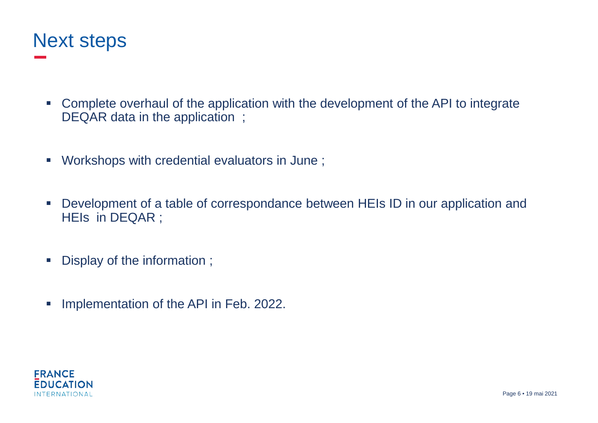

- Complete overhaul of the application with the development of the API to integrate DEQAR data in the application ;
- Workshops with credential evaluators in June ;
- Development of a table of correspondance between HEIs ID in our application and HEIs in DEQAR ;
- Display of the information ;
- **Implementation of the API in Feb. 2022.**